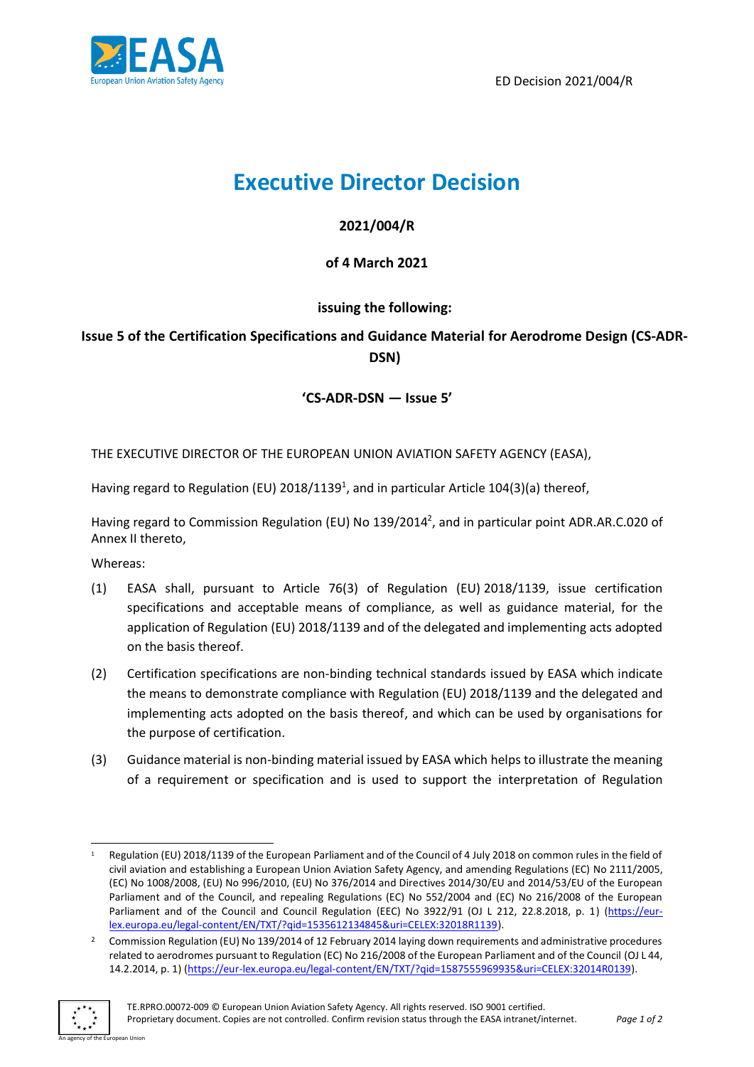

ED Decision 2021/004/R

# **Executive Director Decision**

## **2021/004/R**

## **of 4 March 2021**

# **issuing the following:**

# **Issue 5 of the Certification Specifications and Guidance Material for Aerodrome Design (CS-ADR-DSN)**

## **'CS-ADR-DSN** *—* **Issue 5'**

THE EXECUTIVE DIRECTOR OF THE EUROPEAN UNION AVIATION SAFETY AGENCY (EASA),

Having regard to Regulation (EU) 2018/1139<sup>1</sup>, and in particular Article 104(3)(a) thereof,

Having regard to Commission Regulation (EU) No 139/2014<sup>2</sup>, and in particular point ADR.AR.C.020 of Annex II thereto,

Whereas:

- (1) EASA shall, pursuant to Article 76(3) of Regulation (EU) 2018/1139, issue certification specifications and acceptable means of compliance, as well as guidance material, for the application of Regulation (EU) 2018/1139 and of the delegated and implementing acts adopted on the basis thereof.
- (2) Certification specifications are non-binding technical standards issued by EASA which indicate the means to demonstrate compliance with Regulation (EU) 2018/1139 and the delegated and implementing acts adopted on the basis thereof, and which can be used by organisations for the purpose of certification.
- (3) Guidance material is non-binding material issued by EASA which helps to illustrate the meaning of a requirement or specification and is used to support the interpretation of Regulation

<sup>&</sup>lt;sup>2</sup> Commission Regulation (EU) No 139/2014 of 12 February 2014 laying down requirements and administrative procedures related to aerodromes pursuant to Regulation (EC) No 216/2008 of the European Parliament and of the Council (OJ L 44, 14.2.2014, p. 1) [\(https://eur-lex.europa.eu/legal-content/EN/TXT/?qid=1587555969935&uri=CELEX:32014R0139\)](https://eur-lex.europa.eu/legal-content/EN/TXT/?qid=1587555969935&uri=CELEX:32014R0139).



Regulation (EU) 2018/1139 of the European Parliament and of the Council of 4 July 2018 on common rules in the field of civil aviation and establishing a European Union Aviation Safety Agency, and amending Regulations (EC) No 2111/2005, (EC) No 1008/2008, (EU) No 996/2010, (EU) No 376/2014 and Directives 2014/30/EU and 2014/53/EU of the European Parliament and of the Council, and repealing Regulations (EC) No 552/2004 and (EC) No 216/2008 of the European Parliament and of the Council and Council Regulation (EEC) No 3922/91 (OJ L 212, 22.8.2018, p. 1) [\(https://eur](https://eur-lex.europa.eu/legal-content/EN/TXT/?qid=1535612134845&uri=CELEX:32018R1139)[lex.europa.eu/legal-content/EN/TXT/?qid=1535612134845&uri=CELEX:32018R1139\)](https://eur-lex.europa.eu/legal-content/EN/TXT/?qid=1535612134845&uri=CELEX:32018R1139).